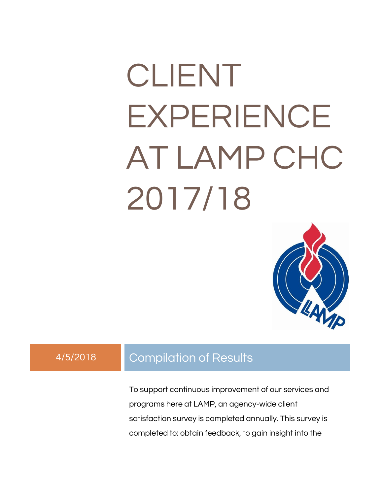# CLIENT EXPERIENCE AT LAMP CHC 2017/18



#### 4/5/2018 Compilation of Results

To support continuous improvement of our services and programs here at LAMP, an agency-wide client satisfaction survey is completed annually. This survey is completed to: obtain feedback, to gain insight into the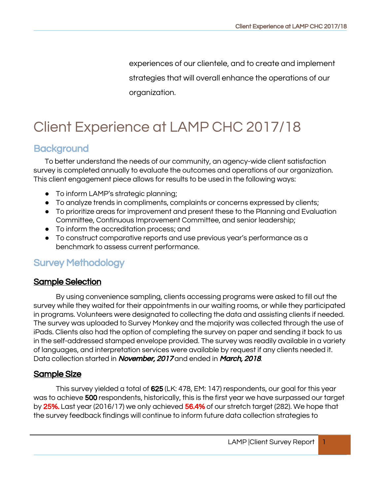experiences of our clientele, and to create and implement strategies that will overall enhance the operations of our organization.

## Client Experience at LAMP CHC 2017/18

#### **Background**

To better understand the needs of our community, an agency-wide client satisfaction survey is completed annually to evaluate the outcomes and operations of our organization. This client engagement piece allows for results to be used in the following ways:

- To inform LAMP's strategic planning;
- To analyze trends in compliments, complaints or concerns expressed by clients;
- To prioritize areas for improvement and present these to the Planning and Evaluation Committee, Continuous Improvement Committee, and senior leadership;
- To inform the accreditation process; and
- To construct comparative reports and use previous year's performance as a benchmark to assess current performance.

#### Survey Methodology

#### Sample Selection

By using convenience sampling, clients accessing programs were asked to fill out the survey while they waited for their appointments in our waiting rooms, or while they participated in programs. Volunteers were designated to collecting the data and assisting clients if needed. The survey was uploaded to Survey Monkey and the majority was collected through the use of iPads. Clients also had the option of completing the survey on paper and sending it back to us in the self-addressed stamped envelope provided. The survey was readily available in a variety of languages, and interpretation services were available by request if any clients needed it. Data collection started in **November, 2017** and ended in **March, 2018**.

#### Sample Size

This survey yielded a total of 625 (LK: 478, EM: 147) respondents, our goal for this year was to achieve **500** respondents, historically, this is the first year we have surpassed our target by 25%. Last year (2016/17) we only achieved 56.4% of our stretch target (282). We hope that the survey feedback findings will continue to inform future data collection strategies to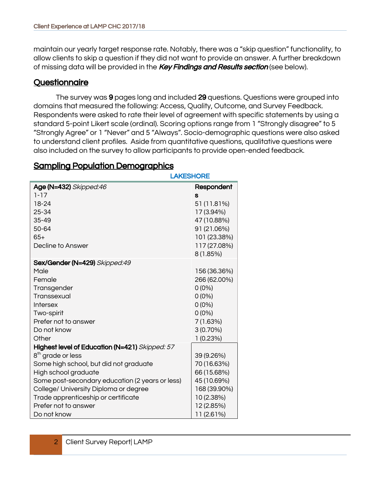maintain our yearly target response rate. Notably, there was a "skip question" functionality, to allow clients to skip a question if they did not want to provide an answer. A further breakdown of missing data will be provided in the **Key Findings and Results section** (see below).

#### **Questionnaire**

The survey was 9 pages long and included 29 questions. Questions were grouped into domains that measured the following: Access, Quality, Outcome, and Survey Feedback. Respondents were asked to rate their level of agreement with specific statements by using a standard 5-point Likert scale (ordinal). Scoring options range from 1 "Strongly disagree" to 5 "Strongly Agree" or 1 "Never" and 5 "Always". Socio-demographic questions were also asked to understand client profiles. Aside from quantitative questions, qualitative questions were also included on the survey to allow participants to provide open-ended feedback.

| <b>LAKESHORE</b>                                |              |
|-------------------------------------------------|--------------|
| <b>Age (N=432)</b> Skipped:46                   | Respondent   |
| $1 - 17$                                        | S            |
| 18-24                                           | 51 (11.81%)  |
| 25-34                                           | 17 (3.94%)   |
| 35-49                                           | 47 (10.88%)  |
| $50 - 64$                                       | 91 (21.06%)  |
| $65+$                                           | 101 (23.38%) |
| Decline to Answer                               | 117 (27.08%) |
|                                                 | 8(1.85%)     |
| Sex/Gender (N=429) Skipped:49                   |              |
| Male                                            | 156 (36.36%) |
| Female                                          | 266 (62.00%) |
| Transgender                                     | $0(0\%)$     |
| Transsexual                                     | $0(0\%)$     |
| <b>Intersex</b>                                 | $0(0\%)$     |
| Two-spirit                                      | $0(0\%)$     |
| Prefer not to answer                            | 7(1.63%)     |
| Do not know                                     | $3(0.70\%)$  |
| Other                                           | 1(0.23%)     |
| Highest level of Education (N=421) Skipped: 57  |              |
| 8 <sup>th</sup> grade or less                   | 39 (9.26%)   |
| Some high school, but did not graduate          | 70 (16.63%)  |
| High school graduate                            | 66 (15.68%)  |
| Some post-secondary education (2 years or less) | 45 (10.69%)  |
| College/ University Diploma or degree           | 168 (39.90%) |
| Trade apprenticeship or certificate             | 10 (2.38%)   |
| Prefer not to answer                            | 12 (2.85%)   |
| Do not know                                     | 11 (2.61%)   |

#### Sampling Population Demographics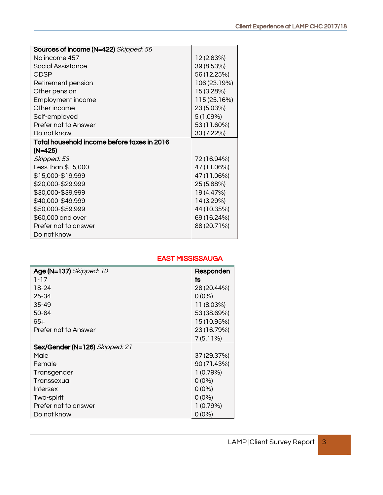| Sources of income (N=422) Skipped: 56       |              |
|---------------------------------------------|--------------|
| No income 457                               | 12 (2.63%)   |
| Social Assistance                           | 39 (8.53%)   |
| ODSP                                        | 56 (12.25%)  |
| Retirement pension                          | 106 (23.19%) |
| Other pension                               | 15 (3.28%)   |
| Employment income                           | 115 (25.16%) |
| Other income                                | 23 (5.03%)   |
| Self-employed                               | 5(1.09%)     |
| Prefer not to Answer                        | 53 (11.60%)  |
| Do not know                                 | 33 (7.22%)   |
| Total household income before taxes in 2016 |              |
| (N=425)                                     |              |
| Skipped: 53                                 | 72 (16.94%)  |
| Less than \$15,000                          | 47 (11.06%)  |
| \$15,000-\$19,999                           | 47 (11.06%)  |
| \$20,000-\$29,999                           | 25 (5.88%)   |
| \$30,000-\$39,999                           | 19 (4.47%)   |
| \$40,000-\$49,999                           | 14 (3.29%)   |
| \$50,000-\$59,999                           | 44 (10.35%)  |
| \$60,000 and over                           | 69 (16.24%)  |
| Prefer not to answer                        | 88 (20.71%)  |
| Do not know                                 |              |

| Age (N=137) Skipped: 10        | Responden   |
|--------------------------------|-------------|
| $1 - 17$                       | ts          |
| 18-24                          | 28 (20.44%) |
| 25-34                          | $0(0\%)$    |
| $35 - 49$                      | 11 (8.03%)  |
| 50-64                          | 53 (38.69%) |
| $65+$                          | 15 (10.95%) |
| Prefer not to Answer           | 23 (16.79%) |
|                                | 7(5.11%)    |
| Sex/Gender (N=126) Skipped: 21 |             |
| Male                           | 37 (29.37%) |
| Female                         | 90 (71.43%) |
| Transgender                    | 1(0.79%)    |
| Transsexual                    | $0(0\%)$    |
| <b>Intersex</b>                | $0(0\%)$    |
| Two-spirit                     | $0(0\%)$    |
| Prefer not to answer           | 1 (0.79%)   |
| Do not know                    | $0(0\%)$    |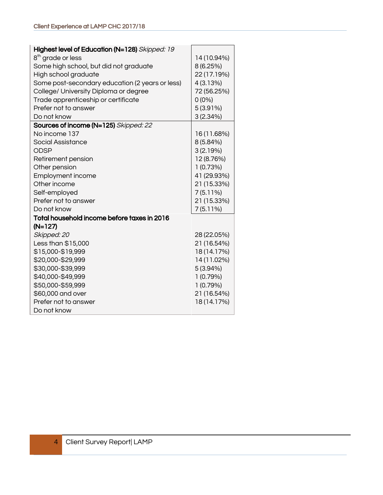| Highest level of Education (N=128) Skipped: 19  |             |
|-------------------------------------------------|-------------|
| 8 <sup>th</sup> grade or less                   | 14 (10.94%) |
| Some high school, but did not graduate          | 8 (6.25%)   |
| High school graduate                            | 22 (17.19%) |
| Some post-secondary education (2 years or less) | 4 (3.13%)   |
| College/ University Diploma or degree           | 72 (56.25%) |
| Trade apprenticeship or certificate             | $0(0\%)$    |
| Prefer not to answer                            | $5(3.91\%)$ |
| Do not know                                     | 3(2.34%)    |
| Sources of income (N=125) Skipped: 22           |             |
| No income 137                                   | 16 (11.68%) |
| Social Assistance                               | 8 (5.84%)   |
| <b>ODSP</b>                                     | 3(2.19%)    |
| Retirement pension                              | 12 (8.76%)  |
| Other pension                                   | 1(0.73%)    |
| <b>Employment income</b>                        | 41 (29.93%) |
| Other income                                    | 21 (15.33%) |
| Self-employed                                   | 7(5.11%)    |
| Prefer not to answer                            | 21 (15.33%) |
| Do not know                                     | $7(5.11\%)$ |
| Total household income before taxes in 2016     |             |
| $(N=127)$                                       |             |
| Skipped: 20                                     | 28 (22.05%) |
| Less than \$15,000                              | 21 (16.54%) |
| \$15,000-\$19,999                               | 18 (14.17%) |
| \$20,000-\$29,999                               | 14 (11.02%) |
| \$30,000-\$39,999                               | 5(3.94%)    |
| \$40,000-\$49,999                               | 1(0.79%)    |
| \$50,000-\$59,999                               | 1(0.79%)    |
| \$60,000 and over                               | 21 (16.54%) |
| Prefer not to answer                            | 18 (14.17%) |
| Do not know                                     |             |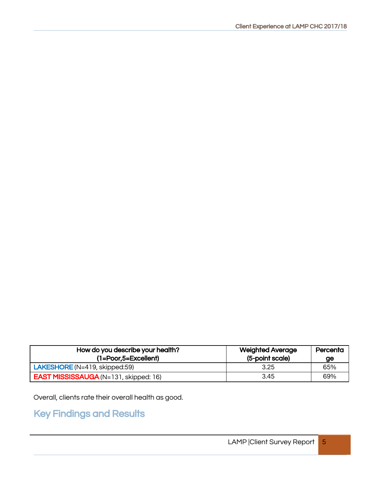| How do you describe your health?<br>$(1 = Poor.5 = Excellent)$ | <b>Weighted Average</b><br>(5-point scale) | Percenta<br>ge |
|----------------------------------------------------------------|--------------------------------------------|----------------|
| $LAKESHORE (N=419, skipped:59)$                                | 3.25                                       | 65%            |
| <b>EAST MISSISSAUGA</b> (N=131, skipped: 16)                   | 3.45                                       | 69%            |

Overall, clients rate their overall health as good.

### Key Findings and Results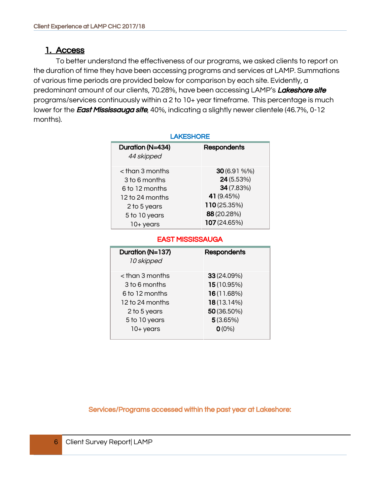#### 1. Access

To better understand the effectiveness of our programs, we asked clients to report on the duration of time they have been accessing programs and services at LAMP. Summations of various time periods are provided below for comparison by each site. Evidently, a predominant amount of our clients, 70.28%, have been accessing LAMP's Lakeshore site programs/services continuously within a 2 to 10+ year timeframe. This percentage is much lower for the East Mississauga site, 40%, indicating a slightly newer clientele (46.7%, 0-12 months).

| <b>LAKESHORE</b>  |                    |  |
|-------------------|--------------------|--|
| Duration (N=434)  | <b>Respondents</b> |  |
| 44 skipped        |                    |  |
| $<$ than 3 months | 30 (6.91 %%)       |  |
| 3 to 6 months     | 24(5.53%)          |  |
| 6 to 12 months    | 34 (7.83%)         |  |
| 12 to 24 months   | 41 (9.45%)         |  |
| 2 to 5 years      | 110 (25.35%)       |  |
| 5 to 10 years     | 88 (20.28%)        |  |
| 10+ years         | 107 (24.65%)       |  |

#### EAST MISSISSAUGA

| Duration (N=137)<br>10 skipped | <b>Respondents</b> |
|--------------------------------|--------------------|
| $<$ than 3 months              | 33(24.09%)         |
| 3 to 6 months                  | 15 (10.95%)        |
| 6 to 12 months                 | 16(11.68%)         |
| 12 to 24 months                | 18(13.14%)         |
| 2 to 5 years                   | 50 (36.50%)        |
| 5 to 10 years                  | 5(3.65%)           |
| $10+$ years                    | $O(0\%)$           |
|                                |                    |

Services/Programs accessed within the past year at Lakeshore: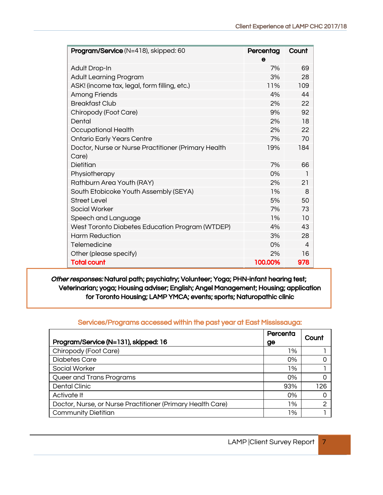| Program/Service (N=418), skipped: 60                | Percentag | Count |
|-----------------------------------------------------|-----------|-------|
|                                                     | e         |       |
| Adult Drop-In                                       | 7%        | 69    |
| <b>Adult Learning Program</b>                       | 3%        | 28    |
| ASK! (income tax, legal, form filling, etc.)        | 11%       | 109   |
| <b>Among Friends</b>                                | 4%        | 44    |
| <b>Breakfast Club</b>                               | 2%        | 22    |
| Chiropody (Foot Care)                               | 9%        | 92    |
| Dental                                              | 2%        | 18    |
| Occupational Health                                 | 2%        | 22    |
| <b>Ontario Early Years Centre</b>                   | 7%        | 70    |
| Doctor, Nurse or Nurse Practitioner (Primary Health | 19%       | 184   |
| Care)                                               |           |       |
| Dietitian                                           | 7%        | 66    |
| Physiotherapy                                       | 0%        | 1     |
| Rathburn Area Youth (RAY)                           | 2%        | 21    |
| South Etobicoke Youth Assembly (SEYA)               | 1%        | 8     |
| <b>Street Level</b>                                 | 5%        | 50    |
| Social Worker                                       | 7%        | 73    |
| Speech and Language                                 | $1\%$     | 10    |
| West Toronto Diabetes Education Program (WTDEP)     | 4%        | 43    |
| <b>Harm Reduction</b>                               | 3%        | 28    |
| Telemedicine                                        | 0%        | 4     |
| Other (please specify)                              | 2%        | 16    |
| <b>Total count</b>                                  | 100.00%   | 978   |

Other responses: Natural path; psychiatry; Volunteer; Yoga; PHN-infant hearing test; Veterinarian; yoga; Housing adviser; English; Angel Management; Housing; application for Toronto Housing; LAMP YMCA; events; sports; Naturopathic clinic

#### Services/Programs accessed within the past year at East Mississauga:

| Program/Service (N=131), skipped: 16                       | Percenta<br>ge | Count |
|------------------------------------------------------------|----------------|-------|
| Chiropody (Foot Care)                                      | 1%             |       |
| <b>Diabetes Care</b>                                       | 0%             |       |
| Social Worker                                              | 1%             |       |
| Queer and Trans Programs                                   | 0%             |       |
| Dental Clinic                                              | 93%            | 126   |
| Activate It                                                | 0%             |       |
| Doctor, Nurse, or Nurse Practitioner (Primary Health Care) | 1%             | ⌒     |
| <b>Community Dietitian</b>                                 | 1%             |       |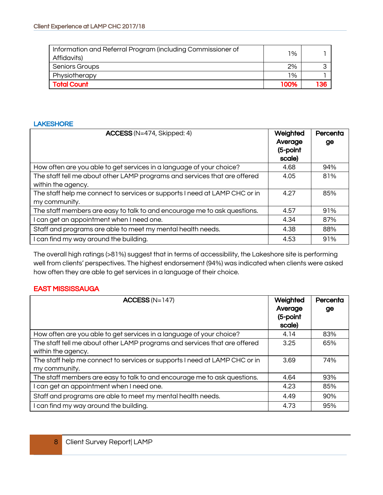| Information and Referral Program (including Commissioner of<br>Affidavits) | $1\%$ |  |
|----------------------------------------------------------------------------|-------|--|
| <b>Seniors Groups</b>                                                      | 2%    |  |
| Physiotherapy                                                              | $1\%$ |  |
| <b>Total Count</b>                                                         | 100%  |  |

#### LAKESHORE

| <b>ACCESS</b> (N=474, Skipped: 4)                                                               | Weighted<br>Average<br>(5-point<br>scale) | Percenta<br>ge |
|-------------------------------------------------------------------------------------------------|-------------------------------------------|----------------|
| How often are you able to get services in a language of your choice?                            | 4.68                                      | 94%            |
| The staff tell me about other LAMP programs and services that are offered<br>within the agency. | 4.05                                      | 81%            |
| The staff help me connect to services or supports I need at LAMP CHC or in<br>my community.     | 4.27                                      | 85%            |
| The staff members are easy to talk to and encourage me to ask questions.                        | 4.57                                      | 91%            |
| can get an appointment when I need one.                                                         | 4.34                                      | 87%            |
| Staff and programs are able to meet my mental health needs.                                     | 4.38                                      | 88%            |
| can find my way around the building.                                                            | 4.53                                      | 91%            |

The overall high ratings (>81%) suggest that in terms of accessibility, the Lakeshore site is performing well from clients' perspectives. The highest endorsement (94%) was indicated when clients were asked how often they are able to get services in a language of their choice.

| $ACCESS (N=147)$                                                                                | Weighted<br>Average<br>(5-point<br>scale) | Percenta<br>ge |
|-------------------------------------------------------------------------------------------------|-------------------------------------------|----------------|
| How often are you able to get services in a language of your choice?                            | 4.14                                      | 83%            |
| The staff tell me about other LAMP programs and services that are offered<br>within the agency. | 3.25                                      | 65%            |
| The staff help me connect to services or supports I need at LAMP CHC or in<br>my community.     | 3.69                                      | 74%            |
| The staff members are easy to talk to and encourage me to ask questions.                        | 4.64                                      | 93%            |
| I can get an appointment when I need one.                                                       | 4.23                                      | 85%            |
| Staff and programs are able to meet my mental health needs.                                     | 4.49                                      | 90%            |
| can find my way around the building.                                                            | 4.73                                      | 95%            |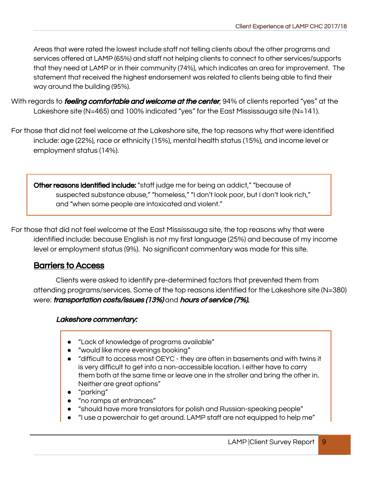Areas that were rated the lowest include staff not telling clients about the other programs and services offered at LAMP (65%) and staff not helping clients to connect to other services/supports that they need at LAMP or in their community (74%), which indicates an area for improvement. The statement that received the highest endorsement was related to clients being able to find their way around the building (95%).

- With regards to *feeling comfortable and welcome at the center*, 94% of clients reported "yes" at the Lakeshore site (N=465) and 100% indicated "yes" for the East Mississauga site (N=141).
- For those that did not feel welcome at the Lakeshore site, the top reasons why that were identified include: age (22%), race or ethnicity (15%), mental health status (15%), and income level or employment status (14%).

Other reasons identified include: "staff judge me for being an addict," "because of suspected substance abuse," "homeless," "I don't look poor, but I don't look rich," and "when some people are intoxicated and violent."

For those that did not feel welcome at the East Mississauga site, the top reasons why that were identified include: because English is not my first language (25%) and because of my income level or employment status (9%). No significant commentary was made for this site.

#### Barriers to Access

Clients were asked to identify pre-determined factors that prevented them from attending programs/services. Some of the top reasons identified for the Lakeshore site (N=380) were: *transportation costs/issues (13%)* and *hours of service (7%).* 

#### Lakeshore commentary:

- "Lack of knowledge of programs available"
- "would like more evenings booking"
- "difficult to access most OEYC they are often in basements and with twins it is very difficult to get into a non-accessible location. I either have to carry them both at the same time or leave one in the stroller and bring the other in. Neither are great options"
- "parking"
- "no ramps at entrances"
- "should have more translators for polish and Russian-speaking people"
- "I use a powerchair to get around. LAMP staff are not equipped to help me"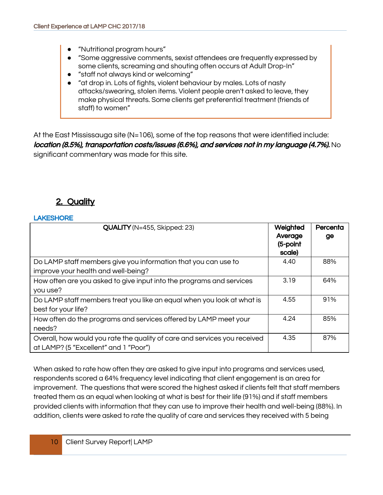- "Nutritional program hours"
- "Some aggressive comments, sexist attendees are frequently expressed by some clients, screaming and shouting often occurs at Adult Drop-In"
- "staff not always kind or welcoming"
- "at drop in. Lots of fights, violent behaviour by males. Lots of nasty attacks/swearing, stolen items. Violent people aren't asked to leave, they make physical threats. Some clients get preferential treatment (friends of staff) to women"

At the East Mississauga site  $(N=106)$ , some of the top reasons that were identified include: location (8.5%), transportation costs/issues (6.6%), and services not in my language (4.7%). No significant commentary was made for this site.

#### 2. Quality

#### **LAKESHORE**

| <b>QUALITY</b> (N=455, Skipped: 23)                                                                                | Weighted<br>Average<br>(5-point<br>scale) | Percenta<br>ge |
|--------------------------------------------------------------------------------------------------------------------|-------------------------------------------|----------------|
| Do LAMP staff members give you information that you can use to<br>improve your health and well-being?              | 4.40                                      | 88%            |
| How often are you asked to give input into the programs and services<br>you use?                                   | 3.19                                      | 64%            |
| Do LAMP staff members treat you like an equal when you look at what is<br>best for your life?                      | 4.55                                      | 91%            |
| How often do the programs and services offered by LAMP meet your<br>needs?                                         | 4.24                                      | 85%            |
| Overall, how would you rate the quality of care and services you received<br>at LAMP? (5 "Excellent" and 1 "Poor") | 4.35                                      | 87%            |

When asked to rate how often they are asked to give input into programs and services used, respondents scored a 64% frequency level indicating that client engagement is an area for improvement. The questions that were scored the highest asked if clients felt that staff members treated them as an equal when looking at what is best for their life (91%) and if staff members provided clients with information that they can use to improve their health and well-being (88%). In addition, clients were asked to rate the quality of care and services they received with 5 being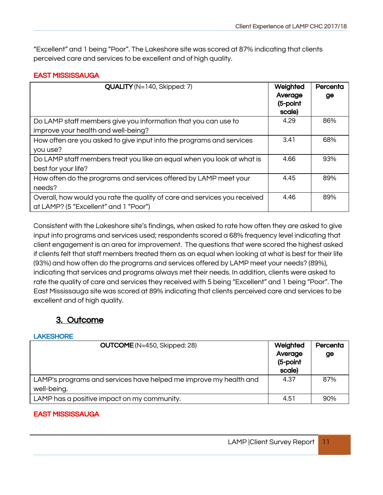"Excellent" and 1 being "Poor". The Lakeshore site was scored at 87% indicating that clients perceived care and services to be excellent and of high quality.

#### EAST MISSISSAUGA

| $QUALITY$ (N=140, Skipped: 7)                                             | Weighted<br>Average<br>(5-point<br>scale) | Percenta<br>ge |
|---------------------------------------------------------------------------|-------------------------------------------|----------------|
| Do LAMP staff members give you information that you can use to            | 4.29                                      | 86%            |
| improve your health and well-being?                                       |                                           |                |
| How often are you asked to give input into the programs and services      | 3.41                                      | 68%            |
| you use?                                                                  |                                           |                |
| Do LAMP staff members treat you like an equal when you look at what is    | 4.66                                      | 93%            |
| best for your life?                                                       |                                           |                |
| How often do the programs and services offered by LAMP meet your          | 4.45                                      | 89%            |
| needs?                                                                    |                                           |                |
| Overall, how would you rate the quality of care and services you received | 4.46                                      | 89%            |
| at LAMP? (5 "Excellent" and 1 "Poor")                                     |                                           |                |

Consistent with the Lakeshore site's findings, when asked to rate how often they are asked to give input into programs and services used; respondents scored a 68% frequency level indicating that client engagement is an area for improvement. The questions that were scored the highest asked if clients felt that staff members treated them as an equal when looking at what is best for their life (93%) and how often do the programs and services offered by LAMP meet your needs? (89%), indicating that services and programs always met their needs. In addition, clients were asked to rate the quality of care and services they received with 5 being "Excellent" and 1 being "Poor". The East Mississauga site was scored at 89% indicating that clients perceived care and services to be excellent and of high quality.

#### 3. Outcome

#### **LAKESHORE**

| <b>OUTCOME</b> (N=450, Skipped: 28)                               | Weighted                      | Percenta |
|-------------------------------------------------------------------|-------------------------------|----------|
|                                                                   | Average<br>(5-point<br>scale) | ge       |
| LAMP's programs and services have helped me improve my health and | 4.37                          | 87%      |
| well-being.                                                       |                               |          |
| LAMP has a positive impact on my community.                       | 4.51                          | 90%      |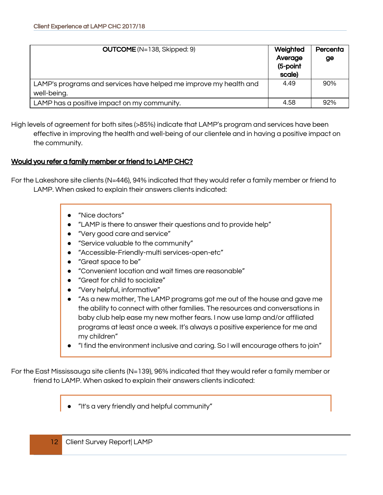| <b>OUTCOME</b> ( $N=138$ , Skipped: 9)                            | Weighted<br>Average<br>(5-point<br>scale) | Percenta<br>ge |
|-------------------------------------------------------------------|-------------------------------------------|----------------|
| LAMP's programs and services have helped me improve my health and | 4.49                                      | 90%            |
| well-being.                                                       |                                           |                |
| LAMP has a positive impact on my community.                       | 4.58                                      | 92%            |

High levels of agreement for both sites (>85%) indicate that LAMP's program and services have been effective in improving the health and well-being of our clientele and in having a positive impact on the community.

#### Would you refer a family member or friend to LAMP CHC?

For the Lakeshore site clients (N=446), 94% indicated that they would refer a family member or friend to LAMP. When asked to explain their answers clients indicated:

- "Nice doctors"
- "LAMP is there to answer their questions and to provide help"
- "Very good care and service"
- "Service valuable to the community"
- "Accessible-Friendly-multi services-open-etc"
- "Great space to be"
- "Convenient location and wait times are reasonable"
- "Great for child to socialize"
- "Very helpful, informative"
- "As a new mother, The LAMP programs got me out of the house and gave me the ability to connect with other families. The resources and conversations in baby club help ease my new mother fears. I now use lamp and/or affiliated programs at least once a week. It's always a positive experience for me and my children"
- "I find the environment inclusive and caring. So I will encourage others to join"

For the East Mississauga site clients (N=139), 96% indicated that they would refer a family member or friend to LAMP. When asked to explain their answers clients indicated:

"It's a very friendly and helpful community"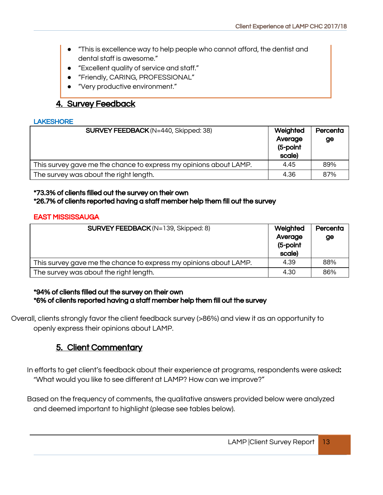- "This is excellence way to help people who cannot afford, the dentist and dental staff is awesome."
- "Excellent quality of service and staff."
- "Friendly, CARING, PROFESSIONAL"
- "Very productive environment."

#### 4. Survey Feedback

#### LAKESHORE

| <b>SURVEY FEEDBACK</b> (N=440, Skipped: 38)                       | Weighted<br>Average<br>(5-point<br>scale) | Percenta<br>ge |
|-------------------------------------------------------------------|-------------------------------------------|----------------|
| This survey gave me the chance to express my opinions about LAMP. | 4.45                                      | 89%            |
| The survey was about the right length.                            | 4.36                                      | 87%            |

#### \*73.3% of clients filled out the survey on their own \*26.7% of clients reported having a staff member help them fill out the survey

#### EAST MISSISSAUGA

| <b>SURVEY FEEDBACK</b> ( $N=139$ , Skipped: 8)                    | Weighted<br>Average<br>(5-point<br>scale) | Percenta<br>ge |
|-------------------------------------------------------------------|-------------------------------------------|----------------|
| This survey gave me the chance to express my opinions about LAMP. | 4.39                                      | 88%            |
| The survey was about the right length.                            | 4.30                                      | 86%            |

#### \*94% of clients filled out the survey on their own \*6% of clients reported having a staff member help them fill out the survey

Overall, clients strongly favor the client feedback survey (>86%) and view it as an opportunity to openly express their opinions about LAMP.

#### 5. Client Commentary

In efforts to get client's feedback about their experience at programs, respondents were asked: "What would you like to see different at LAMP? How can we improve?"

Based on the frequency of comments, the qualitative answers provided below were analyzed and deemed important to highlight (please see tables below).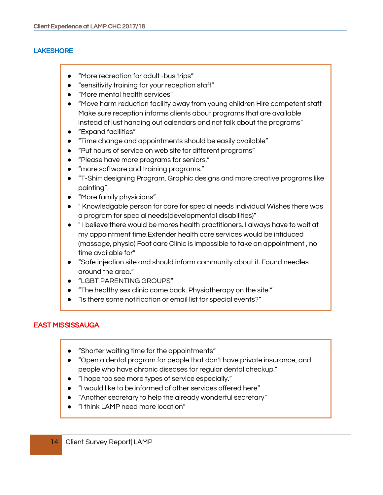#### **LAKESHORE**

- "More recreation for adult -bus trips"
- "sensitivity training for your reception staff"
- "More mental health services"
- "Move harm reduction facility away from young children Hire competent staff Make sure reception informs clients about programs that are available instead of just handing out calendars and not talk about the programs"
- "Expand facilities"
- "Time change and appointments should be easily available"
- "Put hours of service on web site for different programs"
- "Please have more programs for seniors."
- "more software and training programs."
- "T-Shirt designing Program, Graphic designs and more creative programs like painting"
- "More family physicians"
- " Knowledgable person for care for special needs individual Wishes there was a program for special needs(developmental disabilities)"
- " I believe there would be mores health practitioners. I always have to wait at my appointment time.Extender health care services would be intiduced (massage, physio) Foot care Clinic is impossible to take an appointment , no time available for"
- "Safe injection site and should inform community about it. Found needles around the area."
- "LGBT PARENTING GROUPS"
- "The healthy sex clinic come back. Physiotherapy on the site."
- "Is there some notification or email list for special events?"

- "Shorter waiting time for the appointments"
- "Open a dental program for people that don't have private insurance, and people who have chronic diseases for regular dental checkup."
- "I hope too see more types of service especially."
- "I would like to be informed of other services offered here"
- "Another secretary to help the already wonderful secretary"
- "I think LAMP need more location"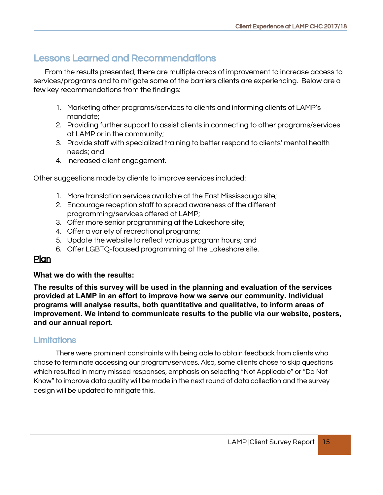#### Lessons Learned and Recommendations

From the results presented, there are multiple areas of improvement to increase access to services/programs and to mitigate some of the barriers clients are experiencing. Below are a few key recommendations from the findings:

- 1. Marketing other programs/services to clients and informing clients of LAMP's mandate;
- 2. Providing further support to assist clients in connecting to other programs/services at LAMP or in the community;
- 3. Provide staff with specialized training to better respond to clients' mental health needs; and
- 4. Increased client engagement.

Other suggestions made by clients to improve services included:

- 1. More translation services available at the East Mississauga site;
- 2. Encourage reception staff to spread awareness of the different programming/services offered at LAMP;
- 3. Offer more senior programming at the Lakeshore site;
- 4. Offer a variety of recreational programs;
- 5. Update the website to reflect various program hours; and
- 6. Offer LGBTQ-focused programming at the Lakeshore site.

#### Plan

#### **What we do with the results:**

**The results of this survey will be used in the planning and evaluation of the services provided at LAMP in an effort to improve how we serve our community. Individual programs will analyse results, both quantitative and qualitative, to inform areas of improvement. We intend to communicate results to the public via our website, posters, and our annual report.**

#### **Limitations**

There were prominent constraints with being able to obtain feedback from clients who chose to terminate accessing our program/services. Also, some clients chose to skip questions which resulted in many missed responses, emphasis on selecting "Not Applicable" or "Do Not Know" to improve data quality will be made in the next round of data collection and the survey design will be updated to mitigate this.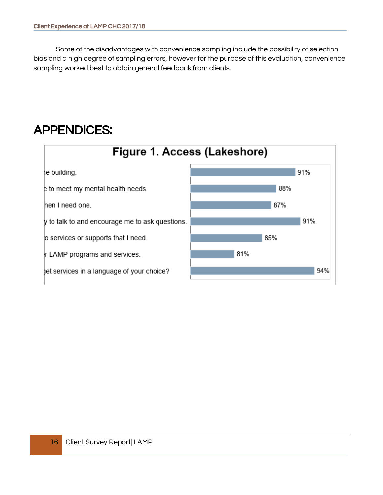Some of the disadvantages with convenience sampling include the possibility of selection bias and a high degree of sampling errors, however for the purpose of this evaluation, convenience sampling worked best to obtain general feedback from clients.

## APPENDICES:

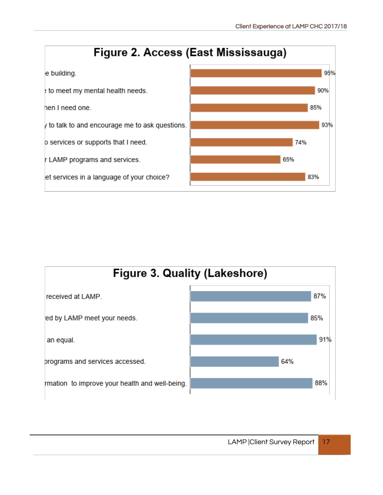

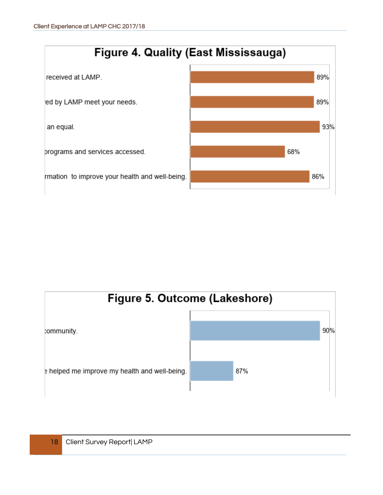

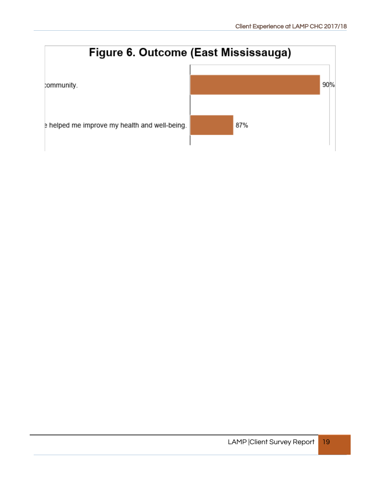